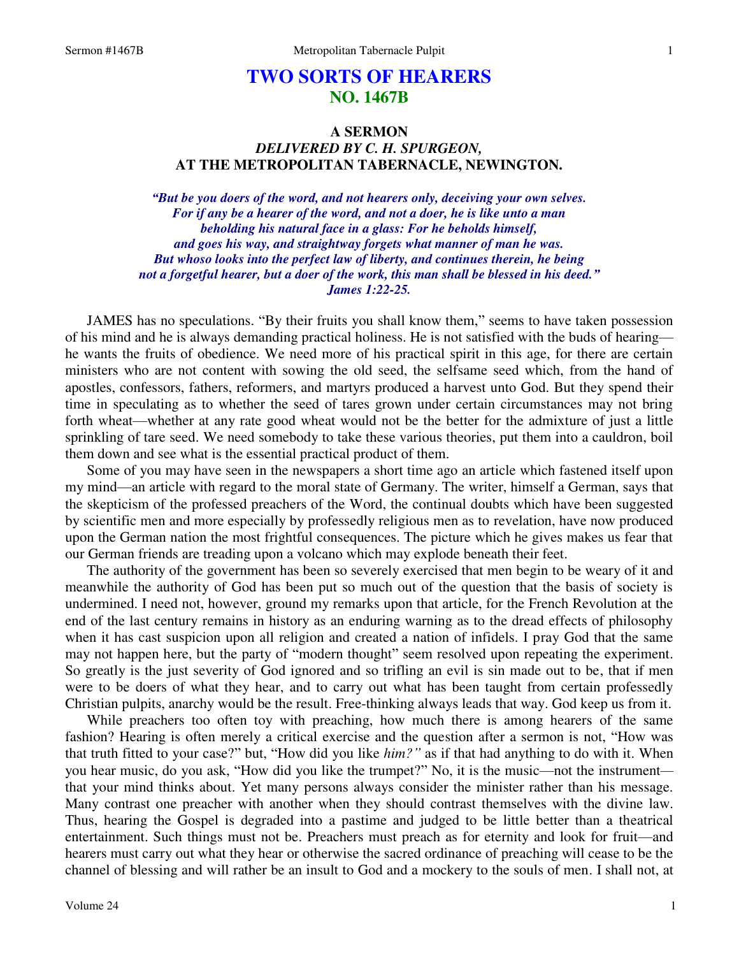## **TWO SORTS OF HEARERS NO. 1467B**

## **A SERMON**  *DELIVERED BY C. H. SPURGEON,*  **AT THE METROPOLITAN TABERNACLE, NEWINGTON.**

*"But be you doers of the word, and not hearers only, deceiving your own selves. For if any be a hearer of the word, and not a doer, he is like unto a man beholding his natural face in a glass: For he beholds himself, and goes his way, and straightway forgets what manner of man he was. But whoso looks into the perfect law of liberty, and continues therein, he being not a forgetful hearer, but a doer of the work, this man shall be blessed in his deed." James 1:22-25.* 

JAMES has no speculations. "By their fruits you shall know them," seems to have taken possession of his mind and he is always demanding practical holiness. He is not satisfied with the buds of hearing he wants the fruits of obedience. We need more of his practical spirit in this age, for there are certain ministers who are not content with sowing the old seed, the selfsame seed which, from the hand of apostles, confessors, fathers, reformers, and martyrs produced a harvest unto God. But they spend their time in speculating as to whether the seed of tares grown under certain circumstances may not bring forth wheat—whether at any rate good wheat would not be the better for the admixture of just a little sprinkling of tare seed. We need somebody to take these various theories, put them into a cauldron, boil them down and see what is the essential practical product of them.

 Some of you may have seen in the newspapers a short time ago an article which fastened itself upon my mind—an article with regard to the moral state of Germany. The writer, himself a German, says that the skepticism of the professed preachers of the Word, the continual doubts which have been suggested by scientific men and more especially by professedly religious men as to revelation, have now produced upon the German nation the most frightful consequences. The picture which he gives makes us fear that our German friends are treading upon a volcano which may explode beneath their feet.

 The authority of the government has been so severely exercised that men begin to be weary of it and meanwhile the authority of God has been put so much out of the question that the basis of society is undermined. I need not, however, ground my remarks upon that article, for the French Revolution at the end of the last century remains in history as an enduring warning as to the dread effects of philosophy when it has cast suspicion upon all religion and created a nation of infidels. I pray God that the same may not happen here, but the party of "modern thought" seem resolved upon repeating the experiment. So greatly is the just severity of God ignored and so trifling an evil is sin made out to be, that if men were to be doers of what they hear, and to carry out what has been taught from certain professedly Christian pulpits, anarchy would be the result. Free-thinking always leads that way. God keep us from it.

 While preachers too often toy with preaching, how much there is among hearers of the same fashion? Hearing is often merely a critical exercise and the question after a sermon is not, "How was that truth fitted to your case?" but, "How did you like *him?"* as if that had anything to do with it. When you hear music, do you ask, "How did you like the trumpet?" No, it is the music—not the instrument that your mind thinks about. Yet many persons always consider the minister rather than his message. Many contrast one preacher with another when they should contrast themselves with the divine law. Thus, hearing the Gospel is degraded into a pastime and judged to be little better than a theatrical entertainment. Such things must not be. Preachers must preach as for eternity and look for fruit—and hearers must carry out what they hear or otherwise the sacred ordinance of preaching will cease to be the channel of blessing and will rather be an insult to God and a mockery to the souls of men. I shall not, at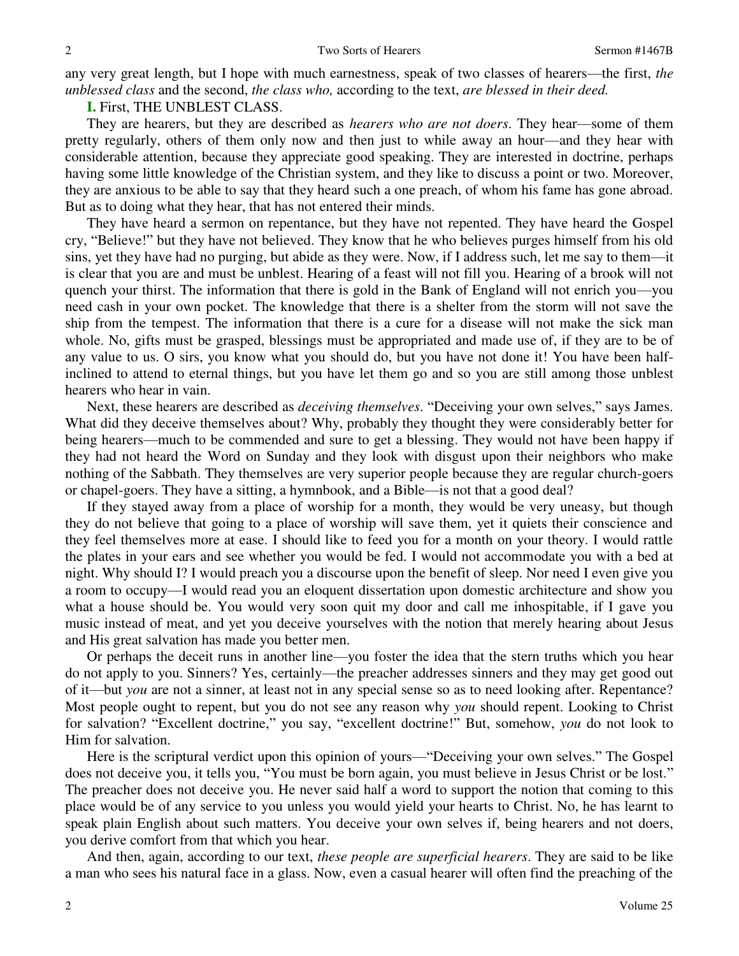any very great length, but I hope with much earnestness, speak of two classes of hearers—the first, *the unblessed class* and the second, *the class who,* according to the text, *are blessed in their deed.*

**I.** First, THE UNBLEST CLASS.

2

 They are hearers, but they are described as *hearers who are not doers*. They hear—some of them pretty regularly, others of them only now and then just to while away an hour—and they hear with considerable attention, because they appreciate good speaking. They are interested in doctrine, perhaps having some little knowledge of the Christian system, and they like to discuss a point or two. Moreover, they are anxious to be able to say that they heard such a one preach, of whom his fame has gone abroad. But as to doing what they hear, that has not entered their minds.

 They have heard a sermon on repentance, but they have not repented. They have heard the Gospel cry, "Believe!" but they have not believed. They know that he who believes purges himself from his old sins, yet they have had no purging, but abide as they were. Now, if I address such, let me say to them—it is clear that you are and must be unblest. Hearing of a feast will not fill you. Hearing of a brook will not quench your thirst. The information that there is gold in the Bank of England will not enrich you—you need cash in your own pocket. The knowledge that there is a shelter from the storm will not save the ship from the tempest. The information that there is a cure for a disease will not make the sick man whole. No, gifts must be grasped, blessings must be appropriated and made use of, if they are to be of any value to us. O sirs, you know what you should do, but you have not done it! You have been halfinclined to attend to eternal things, but you have let them go and so you are still among those unblest hearers who hear in vain.

 Next, these hearers are described as *deceiving themselves*. "Deceiving your own selves," says James. What did they deceive themselves about? Why, probably they thought they were considerably better for being hearers—much to be commended and sure to get a blessing. They would not have been happy if they had not heard the Word on Sunday and they look with disgust upon their neighbors who make nothing of the Sabbath. They themselves are very superior people because they are regular church-goers or chapel-goers. They have a sitting, a hymnbook, and a Bible—is not that a good deal?

 If they stayed away from a place of worship for a month, they would be very uneasy, but though they do not believe that going to a place of worship will save them, yet it quiets their conscience and they feel themselves more at ease. I should like to feed you for a month on your theory. I would rattle the plates in your ears and see whether you would be fed. I would not accommodate you with a bed at night. Why should I? I would preach you a discourse upon the benefit of sleep. Nor need I even give you a room to occupy—I would read you an eloquent dissertation upon domestic architecture and show you what a house should be. You would very soon quit my door and call me inhospitable, if I gave you music instead of meat, and yet you deceive yourselves with the notion that merely hearing about Jesus and His great salvation has made you better men.

 Or perhaps the deceit runs in another line—you foster the idea that the stern truths which you hear do not apply to you. Sinners? Yes, certainly—the preacher addresses sinners and they may get good out of it—but *you* are not a sinner, at least not in any special sense so as to need looking after. Repentance? Most people ought to repent, but you do not see any reason why *you* should repent. Looking to Christ for salvation? "Excellent doctrine," you say, "excellent doctrine!" But, somehow, *you* do not look to Him for salvation.

 Here is the scriptural verdict upon this opinion of yours—"Deceiving your own selves." The Gospel does not deceive you, it tells you, "You must be born again, you must believe in Jesus Christ or be lost." The preacher does not deceive you. He never said half a word to support the notion that coming to this place would be of any service to you unless you would yield your hearts to Christ. No, he has learnt to speak plain English about such matters. You deceive your own selves if, being hearers and not doers, you derive comfort from that which you hear.

 And then, again, according to our text, *these people are superficial hearers*. They are said to be like a man who sees his natural face in a glass. Now, even a casual hearer will often find the preaching of the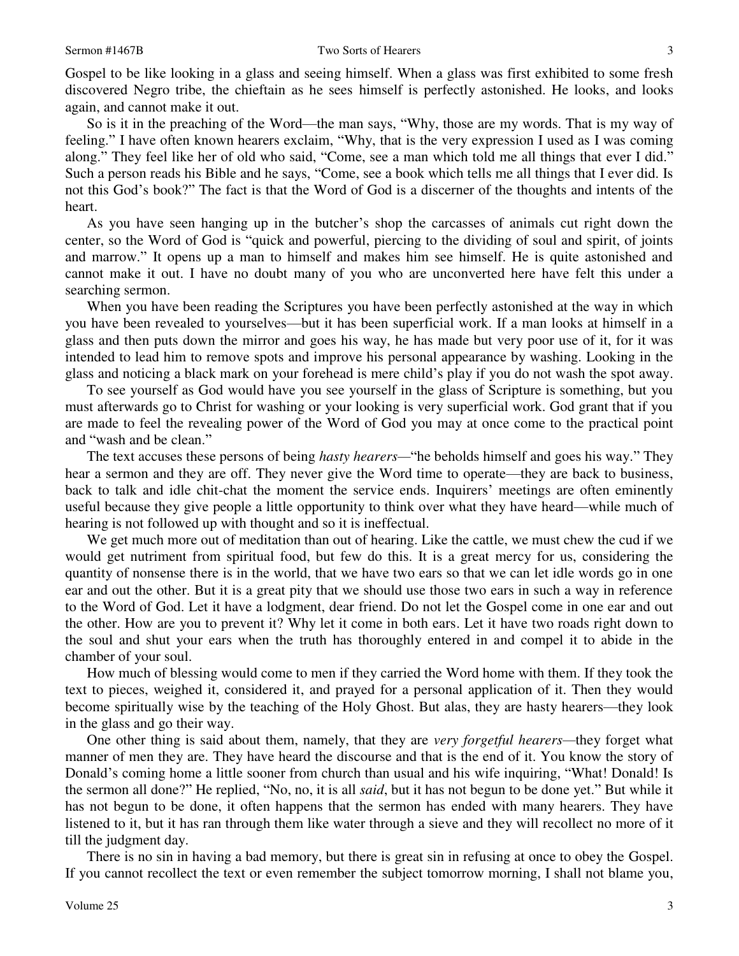Gospel to be like looking in a glass and seeing himself. When a glass was first exhibited to some fresh discovered Negro tribe, the chieftain as he sees himself is perfectly astonished. He looks, and looks again, and cannot make it out.

 So is it in the preaching of the Word—the man says, "Why, those are my words. That is my way of feeling." I have often known hearers exclaim, "Why, that is the very expression I used as I was coming along." They feel like her of old who said, "Come, see a man which told me all things that ever I did." Such a person reads his Bible and he says, "Come, see a book which tells me all things that I ever did. Is not this God's book?" The fact is that the Word of God is a discerner of the thoughts and intents of the heart.

 As you have seen hanging up in the butcher's shop the carcasses of animals cut right down the center, so the Word of God is "quick and powerful, piercing to the dividing of soul and spirit, of joints and marrow." It opens up a man to himself and makes him see himself. He is quite astonished and cannot make it out. I have no doubt many of you who are unconverted here have felt this under a searching sermon.

When you have been reading the Scriptures you have been perfectly astonished at the way in which you have been revealed to yourselves—but it has been superficial work. If a man looks at himself in a glass and then puts down the mirror and goes his way, he has made but very poor use of it, for it was intended to lead him to remove spots and improve his personal appearance by washing. Looking in the glass and noticing a black mark on your forehead is mere child's play if you do not wash the spot away.

 To see yourself as God would have you see yourself in the glass of Scripture is something, but you must afterwards go to Christ for washing or your looking is very superficial work. God grant that if you are made to feel the revealing power of the Word of God you may at once come to the practical point and "wash and be clean."

 The text accuses these persons of being *hasty hearers—*"he beholds himself and goes his way." They hear a sermon and they are off. They never give the Word time to operate—they are back to business, back to talk and idle chit-chat the moment the service ends. Inquirers' meetings are often eminently useful because they give people a little opportunity to think over what they have heard—while much of hearing is not followed up with thought and so it is ineffectual.

 We get much more out of meditation than out of hearing. Like the cattle, we must chew the cud if we would get nutriment from spiritual food, but few do this. It is a great mercy for us, considering the quantity of nonsense there is in the world, that we have two ears so that we can let idle words go in one ear and out the other. But it is a great pity that we should use those two ears in such a way in reference to the Word of God. Let it have a lodgment, dear friend. Do not let the Gospel come in one ear and out the other. How are you to prevent it? Why let it come in both ears. Let it have two roads right down to the soul and shut your ears when the truth has thoroughly entered in and compel it to abide in the chamber of your soul.

 How much of blessing would come to men if they carried the Word home with them. If they took the text to pieces, weighed it, considered it, and prayed for a personal application of it. Then they would become spiritually wise by the teaching of the Holy Ghost. But alas, they are hasty hearers—they look in the glass and go their way.

 One other thing is said about them, namely, that they are *very forgetful hearers—*they forget what manner of men they are. They have heard the discourse and that is the end of it. You know the story of Donald's coming home a little sooner from church than usual and his wife inquiring, "What! Donald! Is the sermon all done?" He replied, "No, no, it is all *said*, but it has not begun to be done yet." But while it has not begun to be done, it often happens that the sermon has ended with many hearers. They have listened to it, but it has ran through them like water through a sieve and they will recollect no more of it till the judgment day.

 There is no sin in having a bad memory, but there is great sin in refusing at once to obey the Gospel. If you cannot recollect the text or even remember the subject tomorrow morning, I shall not blame you,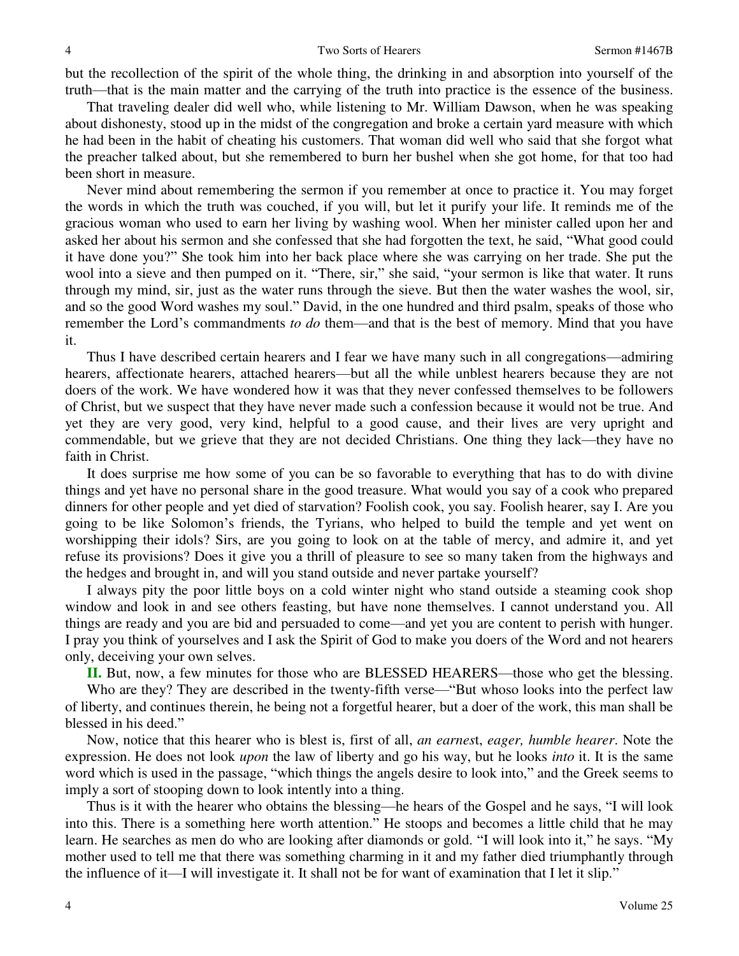but the recollection of the spirit of the whole thing, the drinking in and absorption into yourself of the truth—that is the main matter and the carrying of the truth into practice is the essence of the business.

 That traveling dealer did well who, while listening to Mr. William Dawson, when he was speaking about dishonesty, stood up in the midst of the congregation and broke a certain yard measure with which he had been in the habit of cheating his customers. That woman did well who said that she forgot what the preacher talked about, but she remembered to burn her bushel when she got home, for that too had been short in measure.

 Never mind about remembering the sermon if you remember at once to practice it. You may forget the words in which the truth was couched, if you will, but let it purify your life. It reminds me of the gracious woman who used to earn her living by washing wool. When her minister called upon her and asked her about his sermon and she confessed that she had forgotten the text, he said, "What good could it have done you?" She took him into her back place where she was carrying on her trade. She put the wool into a sieve and then pumped on it. "There, sir," she said, "your sermon is like that water. It runs through my mind, sir, just as the water runs through the sieve. But then the water washes the wool, sir, and so the good Word washes my soul." David, in the one hundred and third psalm, speaks of those who remember the Lord's commandments *to do* them—and that is the best of memory. Mind that you have it.

 Thus I have described certain hearers and I fear we have many such in all congregations—admiring hearers, affectionate hearers, attached hearers—but all the while unblest hearers because they are not doers of the work. We have wondered how it was that they never confessed themselves to be followers of Christ, but we suspect that they have never made such a confession because it would not be true. And yet they are very good, very kind, helpful to a good cause, and their lives are very upright and commendable, but we grieve that they are not decided Christians. One thing they lack—they have no faith in Christ.

 It does surprise me how some of you can be so favorable to everything that has to do with divine things and yet have no personal share in the good treasure. What would you say of a cook who prepared dinners for other people and yet died of starvation? Foolish cook, you say. Foolish hearer, say I. Are you going to be like Solomon's friends, the Tyrians, who helped to build the temple and yet went on worshipping their idols? Sirs, are you going to look on at the table of mercy, and admire it, and yet refuse its provisions? Does it give you a thrill of pleasure to see so many taken from the highways and the hedges and brought in, and will you stand outside and never partake yourself?

 I always pity the poor little boys on a cold winter night who stand outside a steaming cook shop window and look in and see others feasting, but have none themselves. I cannot understand you. All things are ready and you are bid and persuaded to come—and yet you are content to perish with hunger. I pray you think of yourselves and I ask the Spirit of God to make you doers of the Word and not hearers only, deceiving your own selves.

**II.** But, now, a few minutes for those who are BLESSED HEARERS—those who get the blessing.

Who are they? They are described in the twenty-fifth verse—"But whoso looks into the perfect law of liberty, and continues therein, he being not a forgetful hearer, but a doer of the work, this man shall be blessed in his deed."

 Now, notice that this hearer who is blest is, first of all, *an earnes*t, *eager, humble hearer*. Note the expression. He does not look *upon* the law of liberty and go his way, but he looks *into* it. It is the same word which is used in the passage, "which things the angels desire to look into," and the Greek seems to imply a sort of stooping down to look intently into a thing.

 Thus is it with the hearer who obtains the blessing—he hears of the Gospel and he says, "I will look into this. There is a something here worth attention." He stoops and becomes a little child that he may learn. He searches as men do who are looking after diamonds or gold. "I will look into it," he says. "My mother used to tell me that there was something charming in it and my father died triumphantly through the influence of it—I will investigate it. It shall not be for want of examination that I let it slip."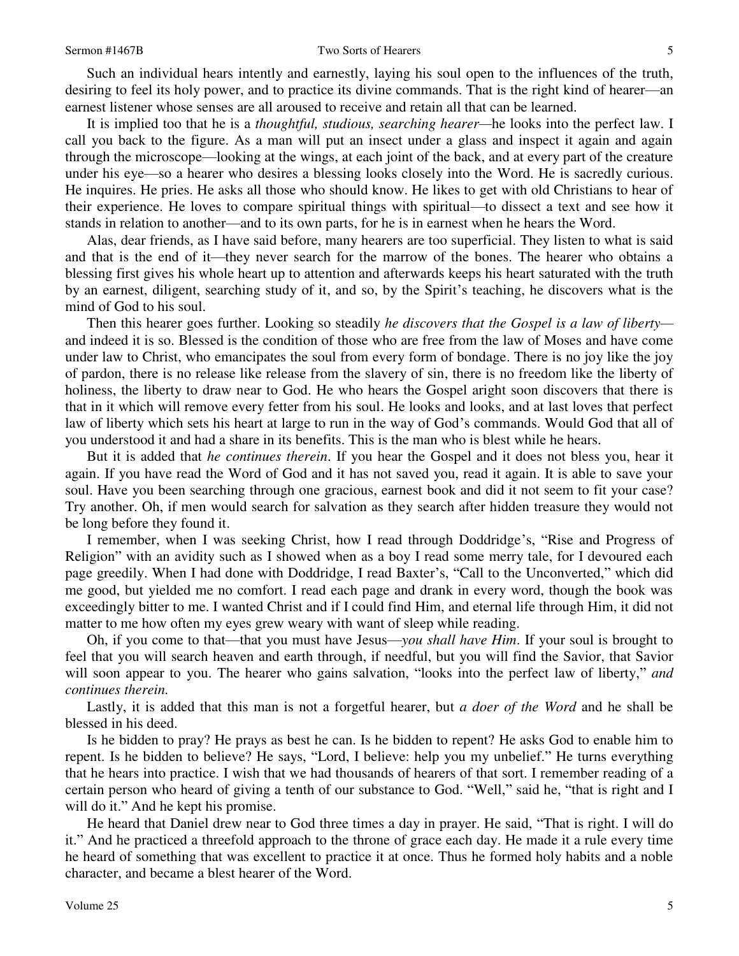## Sermon #1467B Two Sorts of Hearers

 Such an individual hears intently and earnestly, laying his soul open to the influences of the truth, desiring to feel its holy power, and to practice its divine commands. That is the right kind of hearer—an earnest listener whose senses are all aroused to receive and retain all that can be learned.

 It is implied too that he is a *thoughtful, studious, searching hearer—*he looks into the perfect law. I call you back to the figure. As a man will put an insect under a glass and inspect it again and again through the microscope—looking at the wings, at each joint of the back, and at every part of the creature under his eye—so a hearer who desires a blessing looks closely into the Word. He is sacredly curious. He inquires. He pries. He asks all those who should know. He likes to get with old Christians to hear of their experience. He loves to compare spiritual things with spiritual—to dissect a text and see how it stands in relation to another—and to its own parts, for he is in earnest when he hears the Word.

 Alas, dear friends, as I have said before, many hearers are too superficial. They listen to what is said and that is the end of it—they never search for the marrow of the bones. The hearer who obtains a blessing first gives his whole heart up to attention and afterwards keeps his heart saturated with the truth by an earnest, diligent, searching study of it, and so, by the Spirit's teaching, he discovers what is the mind of God to his soul.

 Then this hearer goes further. Looking so steadily *he discovers that the Gospel is a law of liberty* and indeed it is so. Blessed is the condition of those who are free from the law of Moses and have come under law to Christ, who emancipates the soul from every form of bondage. There is no joy like the joy of pardon, there is no release like release from the slavery of sin, there is no freedom like the liberty of holiness, the liberty to draw near to God. He who hears the Gospel aright soon discovers that there is that in it which will remove every fetter from his soul. He looks and looks, and at last loves that perfect law of liberty which sets his heart at large to run in the way of God's commands. Would God that all of you understood it and had a share in its benefits. This is the man who is blest while he hears.

 But it is added that *he continues therein*. If you hear the Gospel and it does not bless you, hear it again. If you have read the Word of God and it has not saved you, read it again. It is able to save your soul. Have you been searching through one gracious, earnest book and did it not seem to fit your case? Try another. Oh, if men would search for salvation as they search after hidden treasure they would not be long before they found it.

 I remember, when I was seeking Christ, how I read through Doddridge's, "Rise and Progress of Religion" with an avidity such as I showed when as a boy I read some merry tale, for I devoured each page greedily. When I had done with Doddridge, I read Baxter's, "Call to the Unconverted," which did me good, but yielded me no comfort. I read each page and drank in every word, though the book was exceedingly bitter to me. I wanted Christ and if I could find Him, and eternal life through Him, it did not matter to me how often my eyes grew weary with want of sleep while reading.

 Oh, if you come to that—that you must have Jesus—*you shall have Him*. If your soul is brought to feel that you will search heaven and earth through, if needful, but you will find the Savior, that Savior will soon appear to you. The hearer who gains salvation, "looks into the perfect law of liberty," *and continues therein.* 

Lastly, it is added that this man is not a forgetful hearer, but *a doer of the Word* and he shall be blessed in his deed.

 Is he bidden to pray? He prays as best he can. Is he bidden to repent? He asks God to enable him to repent. Is he bidden to believe? He says, "Lord, I believe: help you my unbelief." He turns everything that he hears into practice. I wish that we had thousands of hearers of that sort. I remember reading of a certain person who heard of giving a tenth of our substance to God. "Well," said he, "that is right and I will do it." And he kept his promise.

 He heard that Daniel drew near to God three times a day in prayer. He said, "That is right. I will do it." And he practiced a threefold approach to the throne of grace each day. He made it a rule every time he heard of something that was excellent to practice it at once. Thus he formed holy habits and a noble character, and became a blest hearer of the Word.